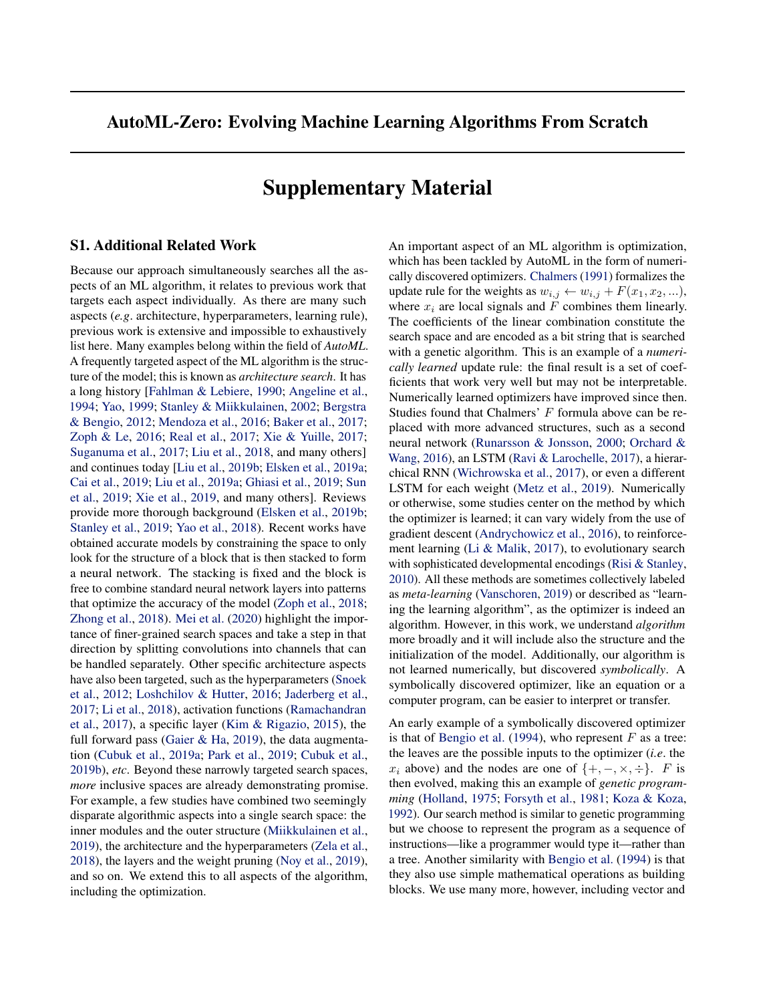# <span id="page-0-0"></span>AutoML-Zero: Evolving Machine Learning Algorithms From Scratch

# Supplementary Material

#### S1. Additional Related Work

Because our approach simultaneously searches all the aspects of an ML algorithm, it relates to previous work that targets each aspect individually. As there are many such aspects (*e.g*. architecture, hyperparameters, learning rule), previous work is extensive and impossible to exhaustively list here. Many examples belong within the field of *AutoML*. A frequently targeted aspect of the ML algorithm is the structure of the model; this is known as *architecture search*. It has a long history [Fahlman & Lebiere, 1990; Angeline et al., 1994; Yao, 1999; Stanley & Miikkulainen, 2002; Bergstra & Bengio, 2012; Mendoza et al., 2016; Baker et al., 2017; Zoph & Le, 2016; Real et al., 2017; Xie & Yuille, 2017; Suganuma et al., 2017; Liu et al., 2018, and many others] and continues today [Liu et al., 2019b; Elsken et al., 2019a; Cai et al., 2019; Liu et al., 2019a; Ghiasi et al., 2019; Sun et al., 2019; Xie et al., 2019, and many others]. Reviews provide more thorough background (Elsken et al., 2019b; Stanley et al., 2019; Yao et al., 2018). Recent works have obtained accurate models by constraining the space to only look for the structure of a block that is then stacked to form a neural network. The stacking is fixed and the block is free to combine standard neural network layers into patterns that optimize the accuracy of the model (Zoph et al., 2018; Zhong et al., 2018). Mei et al. (2020) highlight the importance of finer-grained search spaces and take a step in that direction by splitting convolutions into channels that can be handled separately. Other specific architecture aspects have also been targeted, such as the hyperparameters (Snoek et al., 2012; Loshchilov & Hutter, 2016; Jaderberg et al., 2017; Li et al., 2018), activation functions (Ramachandran et al., 2017), a specific layer (Kim & Rigazio, 2015), the full forward pass (Gaier & Ha, 2019), the data augmentation (Cubuk et al., 2019a; Park et al., 2019; Cubuk et al., 2019b), *etc*. Beyond these narrowly targeted search spaces, *more* inclusive spaces are already demonstrating promise. For example, a few studies have combined two seemingly disparate algorithmic aspects into a single search space: the inner modules and the outer structure (Miikkulainen et al., 2019), the architecture and the hyperparameters (Zela et al., 2018), the layers and the weight pruning (Noy et al., 2019), and so on. We extend this to all aspects of the algorithm, including the optimization.

An important aspect of an ML algorithm is optimization, which has been tackled by AutoML in the form of numerically discovered optimizers. Chalmers (1991) formalizes the update rule for the weights as  $w_{i,j} \leftarrow w_{i,j} + F(x_1, x_2, \ldots),$ where  $x_i$  are local signals and  $F$  combines them linearly. The coefficients of the linear combination constitute the search space and are encoded as a bit string that is searched with a genetic algorithm. This is an example of a *numerically learned* update rule: the final result is a set of coefficients that work very well but may not be interpretable. Numerically learned optimizers have improved since then. Studies found that Chalmers' *F* formula above can be replaced with more advanced structures, such as a second neural network (Runarsson & Jonsson, 2000; Orchard & Wang, 2016), an LSTM (Ravi & Larochelle, 2017), a hierarchical RNN (Wichrowska et al., 2017), or even a different LSTM for each weight (Metz et al., 2019). Numerically or otherwise, some studies center on the method by which the optimizer is learned; it can vary widely from the use of gradient descent (Andrychowicz et al., 2016), to reinforcement learning (Li & Malik, 2017), to evolutionary search with sophisticated developmental encodings (Risi & Stanley, 2010). All these methods are sometimes collectively labeled as *meta-learning* (Vanschoren, 2019) or described as "learning the learning algorithm", as the optimizer is indeed an algorithm. However, in this work, we understand *algorithm* more broadly and it will include also the structure and the initialization of the model. Additionally, our algorithm is not learned numerically, but discovered *symbolically*. A symbolically discovered optimizer, like an equation or a computer program, can be easier to interpret or transfer.

An early example of a symbolically discovered optimizer is that of Bengio et al. (1994), who represent *F* as a tree: the leaves are the possible inputs to the optimizer (*i.e*. the *x*<sub>*i*</sub> above) and the nodes are one of  $\{+, -, \times, \div\}$ . *F* is then evolved, making this an example of *genetic programming* (Holland, 1975; Forsyth et al., 1981; Koza & Koza, 1992). Our search method is similar to genetic programming but we choose to represent the program as a sequence of instructions—like a programmer would type it—rather than a tree. Another similarity with Bengio et al. (1994) is that they also use simple mathematical operations as building blocks. We use many more, however, including vector and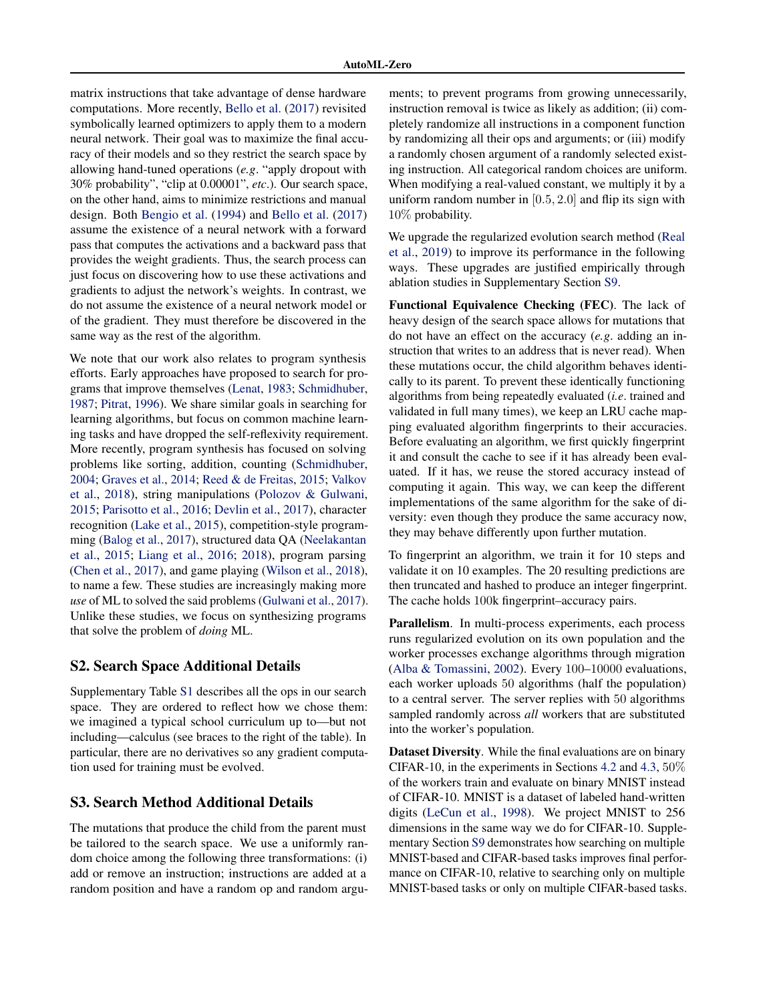matrix instructions that take advantage of dense hardware computations. More recently, [Bello et al.](#page-0-0) [\(2017\)](#page-0-0) revisited symbolically learned optimizers to apply them to a modern neural network. Their goal was to maximize the final accuracy of their models and so they restrict the search space by allowing hand-tuned operations (*e.g*. "apply dropout with 30% probability", "clip at 0.00001", *etc*.). Our search space, on the other hand, aims to minimize restrictions and manual design. Both [Bengio et al.](#page-0-0) [\(1994\)](#page-0-0) and [Bello et al.](#page-0-0) [\(2017\)](#page-0-0) assume the existence of a neural network with a forward pass that computes the activations and a backward pass that provides the weight gradients. Thus, the search process can just focus on discovering how to use these activations and gradients to adjust the network's weights. In contrast, we do not assume the existence of a neural network model or of the gradient. They must therefore be discovered in the same way as the rest of the algorithm.

We note that our work also relates to program synthesis efforts. Early approaches have proposed to search for programs that improve themselves [\(Lenat,](#page-0-0) [1983;](#page-0-0) [Schmidhuber,](#page-0-0) [1987;](#page-0-0) [Pitrat,](#page-0-0) [1996\)](#page-0-0). We share similar goals in searching for learning algorithms, but focus on common machine learning tasks and have dropped the self-reflexivity requirement. More recently, program synthesis has focused on solving problems like sorting, addition, counting [\(Schmidhuber,](#page-0-0) [2004;](#page-0-0) [Graves et al.,](#page-0-0) [2014;](#page-0-0) [Reed & de Freitas,](#page-0-0) [2015;](#page-0-0) [Valkov](#page-0-0) [et al.,](#page-0-0) [2018\)](#page-0-0), string manipulations [\(Polozov & Gulwani,](#page-0-0) [2015;](#page-0-0) [Parisotto et al.,](#page-0-0) [2016;](#page-0-0) [Devlin et al.,](#page-0-0) [2017\)](#page-0-0), character recognition [\(Lake et al.,](#page-0-0) [2015\)](#page-0-0), competition-style programming [\(Balog et al.,](#page-0-0) [2017\)](#page-0-0), structured data QA [\(Neelakantan](#page-0-0) [et al.,](#page-0-0) [2015;](#page-0-0) [Liang et al.,](#page-0-0) [2016;](#page-0-0) [2018\)](#page-0-0), program parsing [\(Chen et al.,](#page-0-0) [2017\)](#page-0-0), and game playing [\(Wilson et al.,](#page-0-0) [2018\)](#page-0-0), to name a few. These studies are increasingly making more *use* of ML to solved the said problems [\(Gulwani et al.,](#page-0-0) [2017\)](#page-0-0). Unlike these studies, we focus on synthesizing programs that solve the problem of *doing* ML.

# S2. Search Space Additional Details

Supplementary Table [S1](#page-2-0) describes all the ops in our search space. They are ordered to reflect how we chose them: we imagined a typical school curriculum up to—but not including—calculus (see braces to the right of the table). In particular, there are no derivatives so any gradient computation used for training must be evolved.

#### S3. Search Method Additional Details

The mutations that produce the child from the parent must be tailored to the search space. We use a uniformly random choice among the following three transformations: (i) add or remove an instruction; instructions are added at a random position and have a random op and random arguments; to prevent programs from growing unnecessarily, instruction removal is twice as likely as addition; (ii) completely randomize all instructions in a component function by randomizing all their ops and arguments; or (iii) modify a randomly chosen argument of a randomly selected existing instruction. All categorical random choices are uniform. When modifying a real-valued constant, we multiply it by a uniform random number in [0*.*5*,* 2*.*0] and flip its sign with 10% probability.

We upgrade the regularized evolution search method [\(Real](#page-0-0) [et al.,](#page-0-0) [2019\)](#page-0-0) to improve its performance in the following ways. These upgrades are justified empirically through ablation studies in Supplementary Section [S9.](#page-7-0)

Functional Equivalence Checking (FEC). The lack of heavy design of the search space allows for mutations that do not have an effect on the accuracy (*e.g*. adding an instruction that writes to an address that is never read). When these mutations occur, the child algorithm behaves identically to its parent. To prevent these identically functioning algorithms from being repeatedly evaluated (*i.e*. trained and validated in full many times), we keep an LRU cache mapping evaluated algorithm fingerprints to their accuracies. Before evaluating an algorithm, we first quickly fingerprint it and consult the cache to see if it has already been evaluated. If it has, we reuse the stored accuracy instead of computing it again. This way, we can keep the different implementations of the same algorithm for the sake of diversity: even though they produce the same accuracy now, they may behave differently upon further mutation.

To fingerprint an algorithm, we train it for 10 steps and validate it on 10 examples. The 20 resulting predictions are then truncated and hashed to produce an integer fingerprint. The cache holds 100k fingerprint–accuracy pairs.

Parallelism. In multi-process experiments, each process runs regularized evolution on its own population and the worker processes exchange algorithms through migration [\(Alba & Tomassini,](#page-0-0) [2002\)](#page-0-0). Every 100–10000 evaluations, each worker uploads 50 algorithms (half the population) to a central server. The server replies with 50 algorithms sampled randomly across *all* workers that are substituted into the worker's population.

Dataset Diversity. While the final evaluations are on binary CIFAR-10, in the experiments in Sections [4.2](#page-0-0) and [4.3,](#page-0-0) 50% of the workers train and evaluate on binary MNIST instead of CIFAR-10. MNIST is a dataset of labeled hand-written digits [\(LeCun et al.,](#page-0-0) [1998\)](#page-0-0). We project MNIST to 256 dimensions in the same way we do for CIFAR-10. Supplementary Section [S9](#page-7-0) demonstrates how searching on multiple MNIST-based and CIFAR-based tasks improves final performance on CIFAR-10, relative to searching only on multiple MNIST-based tasks or only on multiple CIFAR-based tasks.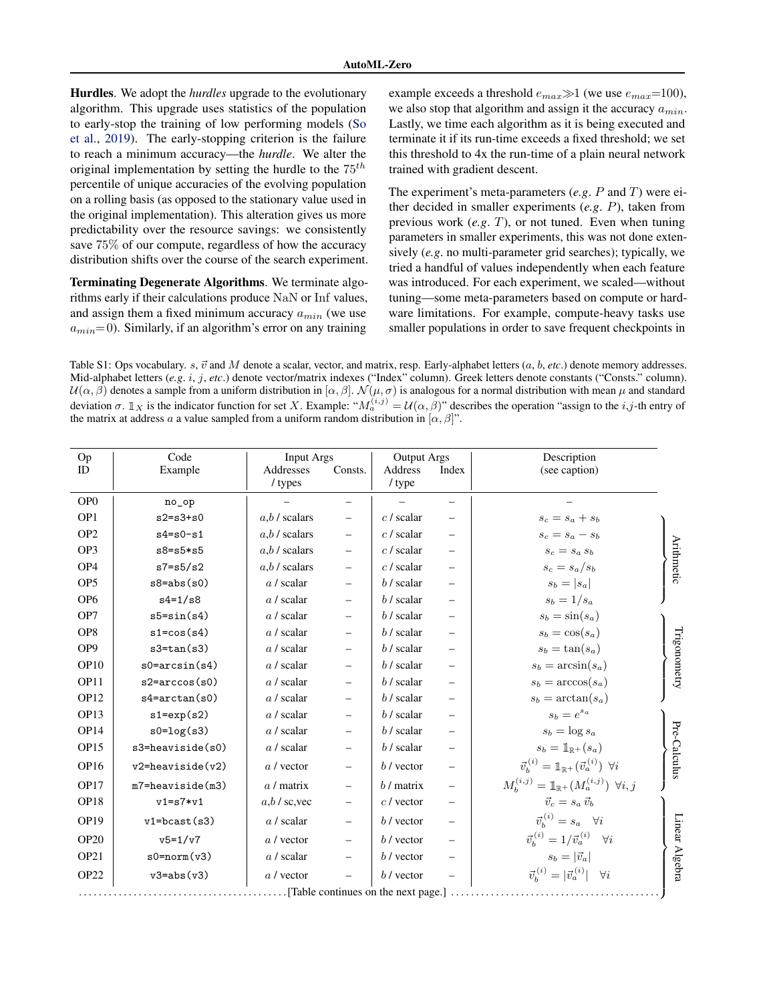<span id="page-2-0"></span>Hurdles. We adopt the *hurdles* upgrade to the evolutionary algorithm. This upgrade uses statistics of the population to early-stop the training of low performing models [\(So](#page-0-0) [et al.,](#page-0-0) [2019\)](#page-0-0). The early-stopping criterion is the failure to reach a minimum accuracy—the *hurdle*. We alter the original implementation by setting the hurdle to the 75*th* percentile of unique accuracies of the evolving population on a rolling basis (as opposed to the stationary value used in the original implementation). This alteration gives us more predictability over the resource savings: we consistently save 75% of our compute, regardless of how the accuracy distribution shifts over the course of the search experiment.

Terminating Degenerate Algorithms. We terminate algorithms early if their calculations produce NaN or Inf values, and assign them a fixed minimum accuracy *amin* (we use  $a_{min}$ =0). Similarly, if an algorithm's error on any training

example exceeds a threshold  $e_{max} \gg 1$  (we use  $e_{max} = 100$ ), we also stop that algorithm and assign it the accuracy *amin*. Lastly, we time each algorithm as it is being executed and terminate it if its run-time exceeds a fixed threshold; we set this threshold to 4x the run-time of a plain neural network trained with gradient descent.

The experiment's meta-parameters (*e.g*. *P* and *T*) were either decided in smaller experiments (*e.g*. *P*), taken from previous work (*e.g*. *T*), or not tuned. Even when tuning parameters in smaller experiments, this was not done extensively (*e.g*. no multi-parameter grid searches); typically, we tried a handful of values independently when each feature was introduced. For each experiment, we scaled—without tuning—some meta-parameters based on compute or hardware limitations. For example, compute-heavy tasks use smaller populations in order to save frequent checkpoints in

Table S1: Ops vocabulary. *s*,  $\vec{v}$  and *M* denote a scalar, vector, and matrix, resp. Early-alphabet letters  $(a, b, etc.)$  denote memory addresses. Mid-alphabet letters (*e.g*. *i*, *j*, *etc*.) denote vector/matrix indexes ("Index" column). Greek letters denote constants ("Consts." column).  $U(\alpha, \beta)$  denotes a sample from a uniform distribution in  $[\alpha, \beta]$ .  $\mathcal{N}(\mu, \sigma)$  is analogous for a normal distribution with mean  $\mu$  and standard deviation  $\sigma$ .  $\mathbb{I}_X$  is the indicator function for set *X*. Example: " $M_a^{(i,j)} = \mathcal{U}(\alpha, \beta)$ " describes the operation "assign to the *i*,*j*-th entry of the matrix at address *a* a value sampled from a uniform random distribution in  $[\alpha, \beta]$ ".

| Op               | Code                                  | Input Args           |         | <b>Output Args</b> |                                | Description                                                                      |                   |  |
|------------------|---------------------------------------|----------------------|---------|--------------------|--------------------------------|----------------------------------------------------------------------------------|-------------------|--|
| <b>ID</b>        | Example                               | Addresses<br>/ types | Consts. | Address<br>/ type  | Index                          | (see caption)                                                                    |                   |  |
| OP <sub>0</sub>  | no_op                                 |                      |         |                    | $\overline{\phantom{0}}$       |                                                                                  |                   |  |
| OP <sub>1</sub>  | $s2 = s3 + s0$                        | $a,b$ / scalars      |         | $c$ / scalar       |                                | $s_c = s_a + s_b$                                                                |                   |  |
| OP <sub>2</sub>  | $s4 = s0 - s1$                        | $a,b$ / scalars      |         | $c$ / scalar       |                                | $s_c = s_a - s_b$                                                                |                   |  |
| OP <sub>3</sub>  | $s8 = s5 * s5$                        | $a,b$ / scalars      |         | $c$ / scalar       |                                | $s_c = s_a s_b$                                                                  | <b>Arithmetic</b> |  |
| OP <sub>4</sub>  | $s7 = s5/s2$                          | $a,b$ / scalars      |         | $c$ / scalar       | $\overline{\phantom{0}}$       | $s_c = s_a/s_b$                                                                  |                   |  |
| OP <sub>5</sub>  | $s8 = abs(s0)$                        | $a/$ scalar          |         | $b/$ scalar        | $\qquad \qquad \longleftarrow$ | $s_b =  s_a $                                                                    |                   |  |
| OP <sub>6</sub>  | $s4 = 1/s8$                           | $a/$ scalar          |         | $b/$ scalar        |                                | $s_b = 1/s_a$                                                                    |                   |  |
| OP7              | $s5 = sin(s4)$                        | $a/$ scalar          |         | $b/$ scalar        | $\overline{\phantom{0}}$       | $s_b = \sin(s_a)$                                                                |                   |  |
| OP <sub>8</sub>  | $s1 = cos(s4)$                        | $a/$ scalar          |         | $b/$ scalar        |                                | $s_b = \cos(s_a)$                                                                |                   |  |
| OP <sub>9</sub>  | $s3 = tan(s3)$                        | $a/$ scalar          |         | $b/$ scalar        | $\overline{\phantom{0}}$       | $s_b = \tan(s_a)$                                                                | Trigonometry      |  |
| OP <sub>10</sub> | $s0 = arcsin(s4)$                     | $a/$ scalar          |         | $b/$ scalar        | $\qquad \qquad \longleftarrow$ | $s_b = \arcsin(s_a)$                                                             |                   |  |
| OP <sub>11</sub> | $s2 = arccos(s0)$                     | $a/$ scalar          |         | $b/$ scalar        |                                | $s_b = \arccos(s_a)$                                                             |                   |  |
| <b>OP12</b>      | $s4 = arctan(s0)$                     | $a/$ scalar          |         | $b/$ scalar        | $\overline{\phantom{0}}$       | $s_b = \arctan(s_a)$                                                             |                   |  |
| OP13             | $s1 = exp(s2)$                        | $a/$ scalar          |         | $b/$ scalar        | $\qquad \qquad -$              | $s_b = e^{s_a}$                                                                  |                   |  |
| <b>OP14</b>      | $s0 = log(s3)$                        | $a/$ scalar          |         | $b/$ scalar        | $\overline{\phantom{0}}$       | $s_b = \log s_a$                                                                 |                   |  |
| OP15             | $s3 =$ heaviside $(s0)$               | $a/$ scalar          |         | $b/$ scalar        | $\qquad \qquad -$              | $s_b = \mathbb{1}_{\mathbb{R}^+}(s_a)$                                           |                   |  |
| <b>OP16</b>      | $v2 =$ heaviside $(v2)$               | $a /$ vector         |         | $b$ / vector       | $\overline{\phantom{0}}$       | $\vec{v}_{h}^{(i)} = \mathbb{1}_{\mathbb{R}^{+}}(\vec{v}_{a}^{(i)}) \ \forall i$ | Pre-Calculus      |  |
| <b>OP17</b>      | $m7 =$ heaviside $(m3)$               | $a /$ matrix         |         | $b /$ matrix       | $\qquad \qquad -$              | $M_h^{(i,j)} = \mathbb{1}_{\mathbb{R}^+}(M_a^{(i,j)}) \ \forall i, j$            |                   |  |
| OP <sub>18</sub> | $v1 = s7 * v1$                        | $a,b$ / sc, vec      |         | $c$ / vector       | —                              | $\vec{v}_c = s_a \vec{v}_b$                                                      |                   |  |
| <b>OP19</b>      | $v1 = bcast(s3)$                      | $a/$ scalar          |         | $b$ / vector       | $\overline{\phantom{0}}$       | $\vec{v}_h^{(i)} = s_a \quad \forall i$                                          |                   |  |
| <b>OP20</b>      | $v5 = 1/v7$                           | $a /$ vector         |         | $b$ / vector       | $\equiv$                       | $\vec{v}_{h}^{(i)} = 1/\vec{v}_{a}^{(i)}$ $\forall i$                            |                   |  |
| OP <sub>21</sub> | $s0=norm(v3)$                         | $a/$ scalar          |         | $b$ / vector       | $\overline{\phantom{m}}$       | $s_b =  \vec{v}_a $                                                              |                   |  |
| OP22             | $v3 = abs(v3)$                        | $a /$ vector         |         | b / vector         |                                | $\vec{v}_h^{(i)} =  \vec{v}_a^{(i)}  \quad \forall i$                            | Linear Algebra    |  |
|                  | . [Table continues on the next page.] |                      |         |                    |                                |                                                                                  |                   |  |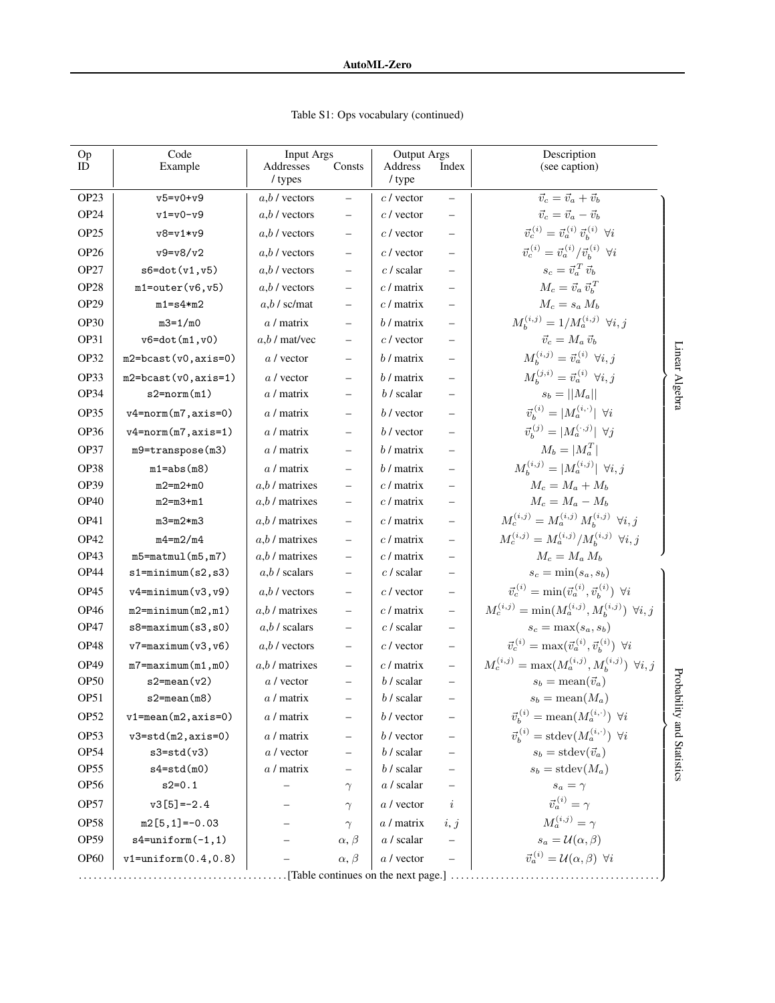Table S1: Ops vocabulary (continued)

| Op<br>ID         | Code<br>Example          | <b>Input Args</b><br>Addresses | Consts          | <b>Output Args</b><br>Address | Index                    | Description<br>(see caption)                                                |                   |  |
|------------------|--------------------------|--------------------------------|-----------------|-------------------------------|--------------------------|-----------------------------------------------------------------------------|-------------------|--|
|                  |                          | / types                        |                 | / type                        |                          |                                                                             |                   |  |
| OP <sub>23</sub> | $v5 = v0 + v9$           | $a,b$ / vectors                |                 | $c$ / vector                  | $\qquad \qquad -$        | $\vec{v}_c = \vec{v}_a + \vec{v}_b$                                         |                   |  |
| OP <sub>24</sub> | $v1 = v0 - v9$           | $a,b$ / vectors                |                 | $c$ / vector                  |                          | $\vec{v}_c = \vec{v}_a - \vec{v}_b$                                         |                   |  |
| OP <sub>25</sub> | $v8 = v1 * v9$           | $a,b$ / vectors                |                 | $c$ / vector                  | $\overline{\phantom{0}}$ | $\vec{v}_{c}^{\,(i)}=\vec{v}_{a}^{\,(i)}\;\vec{v}_{b}^{\,(i)}\;\;\forall i$ |                   |  |
| <b>OP26</b>      | $v9 = v8/v2$             | $a,b$ / vectors                |                 | $c$ / vector                  | ÷                        | $\vec{v}_c^{(i)} = \vec{v}_a^{(i)}/\vec{v}_b^{(i)}$ $\forall i$             |                   |  |
| OP <sub>27</sub> | $s6 = dot(v1, v5)$       | $a,b$ / vectors                |                 | $c$ / scalar                  |                          | $s_c = \vec{v}_a^{\, T} \, \vec{v}_b$                                       |                   |  |
| OP <sub>28</sub> | $m1$ =outer $(v6, v5)$   | $a.b$ / vectors                |                 | $c /$ matrix                  |                          | $M_c = \vec{v}_a \, \vec{v}_b^T$                                            |                   |  |
| OP <sub>29</sub> | $m1 = s4*m2$             | $a,b$ / sc/mat                 |                 | $c /$ matrix                  |                          | $M_c = s_a M_b$                                                             |                   |  |
| OP30             | $m3 = 1/m0$              | $a /$ matrix                   |                 | $b /$ matrix                  |                          | $M_h^{(i,j)} = 1/M_a^{(i,j)}$ $\forall i, j$                                |                   |  |
| OP31             | $v6 = dot(m1, v0)$       | $a,b$ / mat/vec                |                 | $c$ / vector                  |                          | $\vec{v}_c = M_a \, \vec{v}_b$                                              |                   |  |
| OP32             | $m2 = bcast(v0, axis=0)$ | $a /$ vector                   |                 | $b/$ matrix                   | $\overline{\phantom{0}}$ | $M_h^{(i,j)} = \vec{v}_a^{(i)} \;\; \forall i, j$                           | Linear Algebra    |  |
| OP33             | $m2 = bcast(v0, axis=1)$ | $a /$ vector                   |                 | $b /$ matrix                  |                          | $M_h^{(j,i)} = \vec{v}_a^{(i)} \;\; \forall i, j$                           |                   |  |
| OP34             | $s2=norm(m1)$            | $a /$ matrix                   |                 | $b/$ scalar                   |                          | $s_b =   M_a  $                                                             |                   |  |
| OP35             | $v4 = norm(m7, axis=0)$  | $a /$ matrix                   |                 | $b$ / vector                  |                          | $\vec{v}_{h}^{(i)} =  M_a^{(i,\cdot)} $ $\forall i$                         |                   |  |
| OP36             | $v4=norm(m7, axis=1)$    | $a /$ matrix                   |                 | $b$ / vector                  |                          | $\vec{v}_{h}^{(j)} =  M_a^{(\cdot,j)}  \;\; \forall j$                      |                   |  |
| OP37             | m9=transpose(m3)         | $a /$ matrix                   |                 | $b/$ matrix                   |                          | $M_b =  M_a^T $                                                             |                   |  |
| OP38             | $m1 = abs(m8)$           | $a /$ matrix                   |                 | $b /$ matrix                  |                          | $M_h^{(i,j)} =  M_a^{(i,j)}  \; \forall i, j$                               |                   |  |
| OP39             | $m2=m2+m0$               | $a,b$ / matrixes               |                 | $c /$ matrix                  |                          | $M_c = M_a + M_b$                                                           |                   |  |
| OP <sub>40</sub> | $m2 = m3 + m1$           | $a,b$ / matrixes               |                 | $c /$ matrix                  |                          | $M_c = M_a - M_b$                                                           |                   |  |
| OP41             | $m3 = m2 * m3$           | $a,b$ / matrixes               |                 | $c /$ matrix                  |                          | $M_c^{(i,j)} = M_a^{(i,j)} M_b^{(i,j)} \ \forall i,j$                       |                   |  |
| OP42             | $m4=m2/m4$               | $a,b$ / matrixes               |                 | $c /$ matrix                  |                          | $M_c^{(i,j)} = M_a^{(i,j)}/M_b^{(i,j)}$ $\forall i, j$                      |                   |  |
| OP43             | $m5 = matmul(m5, m7)$    | $a,b$ / matrixes               |                 | $c /$ matrix                  |                          | $M_c = M_a M_b$                                                             |                   |  |
| OP44             | $s1 = minimum(s2, s3)$   | $a,b$ / scalars                |                 | $c$ / scalar                  |                          | $s_c = \min(s_a, s_b)$                                                      |                   |  |
| OP45             | $v4 = minimum(v3, v9)$   | $a,b$ / vectors                |                 | $c$ / vector                  |                          | $\vec{v}_c^{(i)} = \min(\vec{v}_a^{(i)}, \vec{v}_b^{(i)}) \ \forall i$      |                   |  |
| OP46             | $m2 = minimum(m2, m1)$   | $a,b/$ matrixes                |                 | $c /$ matrix                  |                          | $M_c^{(i,j)} = \min(M_a^{(i,j)}, M_b^{(i,j)})$ $\forall i, j$               |                   |  |
| OP47             | $s8 = maximum(s3, s0)$   | $a,b$ / scalars                |                 | $c$ / scalar                  |                          | $s_c = \max(s_a, s_b)$                                                      |                   |  |
| OP48             | $v7 = maximum(v3, v6)$   | $a,b$ / vectors                |                 | $c$ / vector                  | $\overline{\phantom{0}}$ | $\vec{v}_c^{(i)} = \max(\vec{v}_a^{(i)}, \vec{v}_b^{(i)}) \;\; \forall i$   |                   |  |
| OP49             | $m7 = maximum(m1, m0)$   | $a,b$ / matrixes               |                 | $c /$ matrix                  |                          | $M_c^{(i,j)} = \max(M_a^{(i,j)}, M_b^{(i,j)})$ $\forall i, j$               |                   |  |
| OP <sub>50</sub> | $s2$ =mean $(v2)$        | $a /$ vector                   |                 | $b/$ scalar                   |                          | $s_b = \text{mean}(\vec{v}_a)$                                              |                   |  |
| OP <sub>51</sub> | $s2 = mean(m8)$          | a / matrix                     |                 | $b/$ scalar                   |                          | $s_b = \text{mean}(M_a)$                                                    | Probabili         |  |
| OP <sub>52</sub> | $v1 = mean(m2, axis=0)$  | $a /$ matrix                   |                 | $b$ / vector                  |                          | $\vec{v}_b^{(i)} = \text{mean}(M_a^{(i,\cdot)}) \ \forall i$                | ty and Statistics |  |
| OP53             | $v3 = std(m2, axis=0)$   | $a /$ matrix                   |                 | $b$ / vector                  |                          | $\vec{v}_h^{(i)} = \text{stdev}(M_a^{(i,\cdot)})$ $\forall i$               |                   |  |
| OP54             | $s3 = std(v3)$           | $a /$ vector                   |                 | $b/$ scalar                   |                          | $s_b = \text{stdev}(\vec{v}_a)$                                             |                   |  |
| OP <sub>55</sub> | $s4 = std(m0)$           | $a /$ matrix                   |                 | $b/$ scalar                   |                          | $s_b = \text{stdev}(M_a)$                                                   |                   |  |
| OP <sub>56</sub> | $s2=0.1$                 |                                | $\gamma$        | $a/$ scalar                   |                          | $s_a = \gamma$                                                              |                   |  |
| OP57             | $v3[5] = -2.4$           |                                | $\gamma$        | $a /$ vector                  | $\dot{\imath}$           | $\vec{v}_a^{(i)} = \gamma$                                                  |                   |  |
| <b>OP58</b>      | $m2[5,1] = -0.03$        |                                | $\gamma$        | $a /$ matrix                  | i, j                     | $M_a^{(i,j)} = \gamma$                                                      |                   |  |
| OP59             | $s4 = uniform(-1,1)$     |                                | $\alpha, \beta$ | $a/$ scalar                   |                          | $s_a = \mathcal{U}(\alpha, \beta)$                                          |                   |  |
| OP <sub>60</sub> | $v1 = uniform(0.4, 0.8)$ |                                | $\alpha, \beta$ | a / vector                    |                          | $\vec{v}_a^{(i)} = \mathcal{U}(\alpha, \beta)$ $\forall i$                  |                   |  |
|                  |                          |                                |                 |                               |                          |                                                                             |                   |  |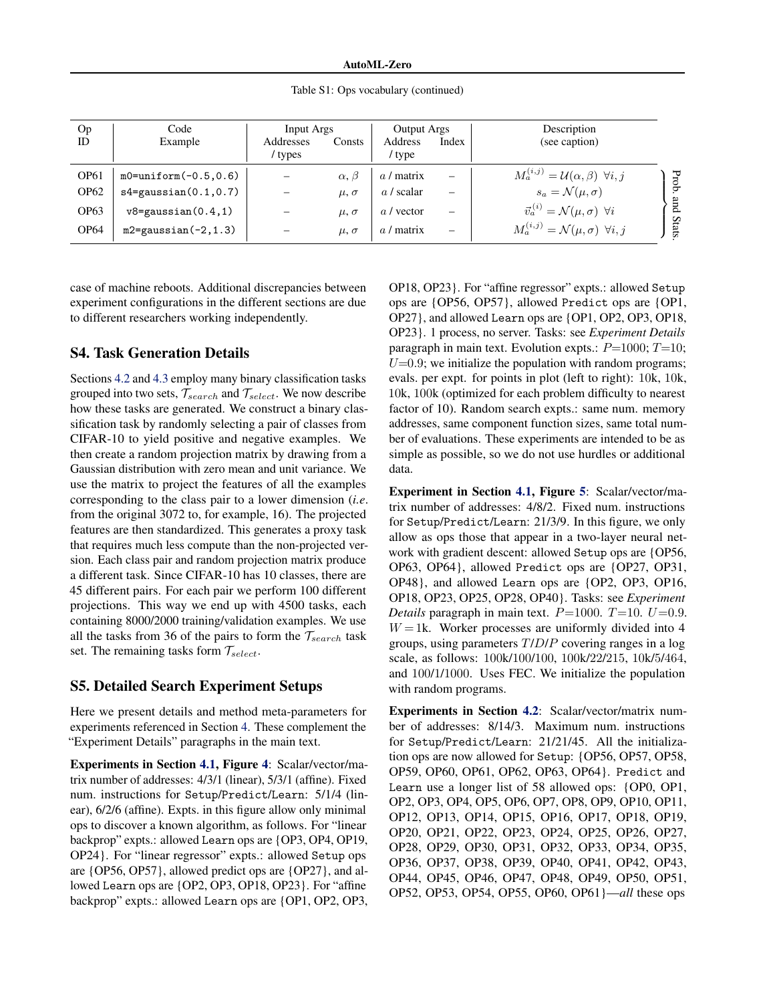Table S1: Ops vocabulary (continued)

| Op               | Code                       | Input Args           |                 | <b>Output Args</b>       |                          | Description                                                        |
|------------------|----------------------------|----------------------|-----------------|--------------------------|--------------------------|--------------------------------------------------------------------|
| <b>ID</b>        | Example                    | Addresses<br>/ types | Consts          | <b>Address</b><br>' type | Index                    | (see caption)                                                      |
| OP <sub>61</sub> | $m0 = uniform(-0.5, 0.6)$  |                      | $\alpha, \beta$ | $a /$ matrix             | $\overline{\phantom{0}}$ | $M_a^{(i,j)} = \mathcal{U}(\alpha, \beta)$ $\forall i, j$<br>Prob. |
| OP <sub>62</sub> | $s4 = gaussian(0.1, 0.7)$  |                      | $\mu, \sigma$   | $a/$ scalar              | $\overline{\phantom{m}}$ | $s_a = \mathcal{N}(\mu, \sigma)$                                   |
| <b>OP63</b>      | $v8 =$ gaussian $(0.4, 1)$ |                      | $\mu, \sigma$   | a / vector               | $\overline{\phantom{m}}$ | pue<br>$\vec{v}_a^{(i)} = \mathcal{N}(\mu, \sigma)$ $\forall i$    |
| OP <sub>64</sub> | $m2 =$ gaussian(-2,1.3)    |                      | $\mu, \sigma$   | matrix<br>a <sub>l</sub> | $\overline{\phantom{0}}$ | Stats<br>$M_a^{(i,j)} = \mathcal{N}(\mu, \sigma)$ $\forall i, j$   |

case of machine reboots. Additional discrepancies between experiment configurations in the different sections are due to different researchers working independently.

#### S4. Task Generation Details

Sections [4.2](#page-0-0) and [4.3](#page-0-0) employ many binary classification tasks grouped into two sets, *Tsearch* and *Tselect*. We now describe how these tasks are generated. We construct a binary classification task by randomly selecting a pair of classes from CIFAR-10 to yield positive and negative examples. We then create a random projection matrix by drawing from a Gaussian distribution with zero mean and unit variance. We use the matrix to project the features of all the examples corresponding to the class pair to a lower dimension (*i.e*. from the original 3072 to, for example, 16). The projected features are then standardized. This generates a proxy task that requires much less compute than the non-projected version. Each class pair and random projection matrix produce a different task. Since CIFAR-10 has 10 classes, there are 45 different pairs. For each pair we perform 100 different projections. This way we end up with 4500 tasks, each containing 8000/2000 training/validation examples. We use all the tasks from 36 of the pairs to form the  $\mathcal{T}_{search}$  task set. The remaining tasks form *Tselect*.

## S5. Detailed Search Experiment Setups

Here we present details and method meta-parameters for experiments referenced in Section [4.](#page-0-0) These complement the "Experiment Details" paragraphs in the main text.

Experiments in Section [4.1,](#page-0-0) Figure [4](#page-0-0): Scalar/vector/matrix number of addresses: 4/3/1 (linear), 5/3/1 (affine). Fixed num. instructions for Setup/Predict/Learn: 5/1/4 (linear), 6/2/6 (affine). Expts. in this figure allow only minimal ops to discover a known algorithm, as follows. For "linear backprop" expts.: allowed Learn ops are {OP3, OP4, OP19, OP24}. For "linear regressor" expts.: allowed Setup ops are {OP56, OP57}, allowed predict ops are {OP27}, and allowed Learn ops are {OP2, OP3, OP18, OP23}. For "affine backprop" expts.: allowed Learn ops are {OP1, OP2, OP3, OP18, OP23}. For "affine regressor" expts.: allowed Setup ops are {OP56, OP57}, allowed Predict ops are {OP1, OP27}, and allowed Learn ops are {OP1, OP2, OP3, OP18, OP23}. 1 process, no server. Tasks: see *Experiment Details* paragraph in main text. Evolution expts.: *P*=1000; *T*=10;  $U=0.9$ ; we initialize the population with random programs; evals. per expt. for points in plot (left to right): 10k, 10k, 10k, 100k (optimized for each problem difficulty to nearest factor of 10). Random search expts.: same num. memory addresses, same component function sizes, same total number of evaluations. These experiments are intended to be as simple as possible, so we do not use hurdles or additional data.

Experiment in Section [4.1,](#page-0-0) Figure [5](#page-0-0): Scalar/vector/matrix number of addresses: 4/8/2. Fixed num. instructions for Setup/Predict/Learn: 21/3/9. In this figure, we only allow as ops those that appear in a two-layer neural network with gradient descent: allowed Setup ops are {OP56, OP63, OP64}, allowed Predict ops are {OP27, OP31, OP48}, and allowed Learn ops are {OP2, OP3, OP16, OP18, OP23, OP25, OP28, OP40}. Tasks: see *Experiment Details* paragraph in main text.  $P=1000$ .  $T=10$ .  $U=0.9$ .  $W = 1$ k. Worker processes are uniformly divided into 4 groups, using parameters *T*/*D*/*P* covering ranges in a log scale, as follows: 100k/100/100, 100k/22/215, 10k/5/464, and 100/1/1000. Uses FEC. We initialize the population with random programs.

Experiments in Section [4.2](#page-0-0): Scalar/vector/matrix number of addresses: 8/14/3. Maximum num. instructions for Setup/Predict/Learn: 21/21/45. All the initialization ops are now allowed for Setup: {OP56, OP57, OP58, OP59, OP60, OP61, OP62, OP63, OP64}. Predict and Learn use a longer list of 58 allowed ops: {OP0, OP1, OP2, OP3, OP4, OP5, OP6, OP7, OP8, OP9, OP10, OP11, OP12, OP13, OP14, OP15, OP16, OP17, OP18, OP19, OP20, OP21, OP22, OP23, OP24, OP25, OP26, OP27, OP28, OP29, OP30, OP31, OP32, OP33, OP34, OP35, OP36, OP37, OP38, OP39, OP40, OP41, OP42, OP43, OP44, OP45, OP46, OP47, OP48, OP49, OP50, OP51, OP52, OP53, OP54, OP55, OP60, OP61}—*all* these ops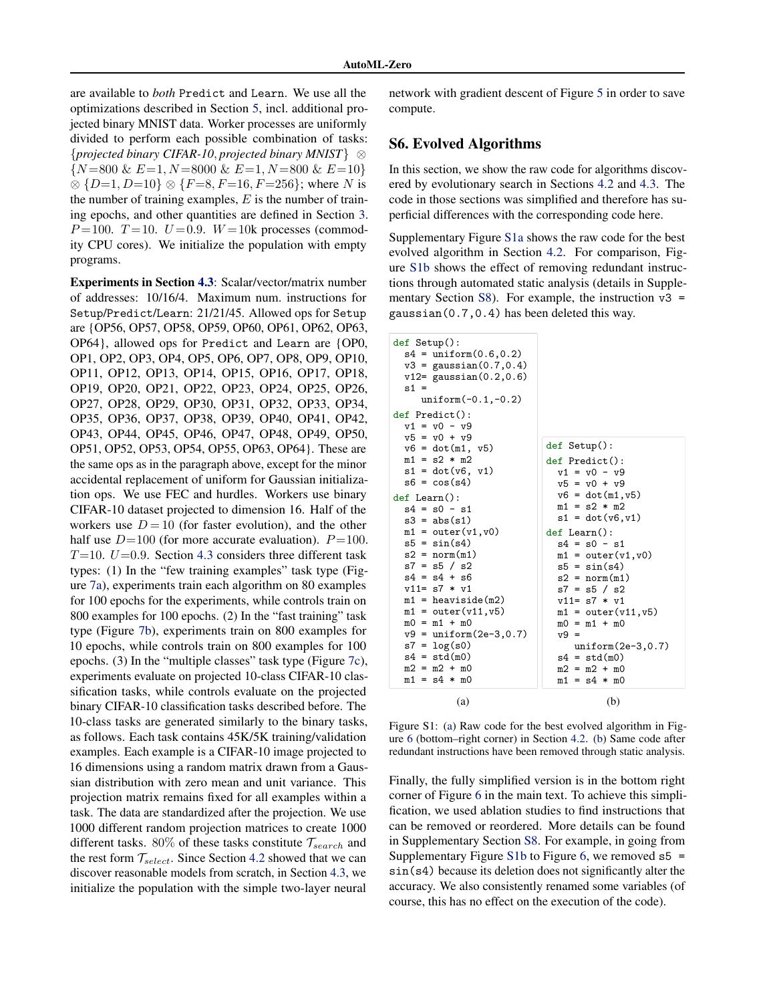<span id="page-5-0"></span>are available to *both* Predict and Learn. We use all the optimizations described in Section [5,](#page-0-0) incl. additional projected binary MNIST data. Worker processes are uniformly divided to perform each possible combination of tasks: *{projected binary CIFAR-10, projected binary MNIST}* ⌦ *{N* =800 & *E*=1*, N* =8000 & *E*=1*, N* =800 & *E*=10*}*  $\otimes$  {*D*=1*, D*=10}  $\otimes$  {*F*=8*, F*=16*, F*=256}; where *N* is the number of training examples, *E* is the number of training epochs, and other quantities are defined in Section [3.](#page-0-0) *P* = 100. *T* = 10. *U* = 0.9. *W* = 10k processes (commodity CPU cores). We initialize the population with empty programs.

Experiments in Section [4.3](#page-0-0): Scalar/vector/matrix number of addresses: 10/16/4. Maximum num. instructions for Setup/Predict/Learn: 21/21/45. Allowed ops for Setup are {OP56, OP57, OP58, OP59, OP60, OP61, OP62, OP63, OP64}, allowed ops for Predict and Learn are {OP0, OP1, OP2, OP3, OP4, OP5, OP6, OP7, OP8, OP9, OP10, OP11, OP12, OP13, OP14, OP15, OP16, OP17, OP18, OP19, OP20, OP21, OP22, OP23, OP24, OP25, OP26, OP27, OP28, OP29, OP30, OP31, OP32, OP33, OP34, OP35, OP36, OP37, OP38, OP39, OP40, OP41, OP42, OP43, OP44, OP45, OP46, OP47, OP48, OP49, OP50, OP51, OP52, OP53, OP54, OP55, OP63, OP64}. These are the same ops as in the paragraph above, except for the minor accidental replacement of uniform for Gaussian initialization ops. We use FEC and hurdles. Workers use binary CIFAR-10 dataset projected to dimension 16. Half of the workers use  $D = 10$  (for faster evolution), and the other half use  $D=100$  (for more accurate evaluation).  $P=100$ . *T*=10. *U*=0*.*9. Section [4.3](#page-0-0) considers three different task types: (1) In the "few training examples" task type (Figure [7a\)](#page-0-0), experiments train each algorithm on 80 examples for 100 epochs for the experiments, while controls train on 800 examples for 100 epochs. (2) In the "fast training" task type (Figure [7b\)](#page-0-0), experiments train on 800 examples for 10 epochs, while controls train on 800 examples for 100 epochs. (3) In the "multiple classes" task type (Figure [7c\)](#page-0-0), experiments evaluate on projected 10-class CIFAR-10 classification tasks, while controls evaluate on the projected binary CIFAR-10 classification tasks described before. The 10-class tasks are generated similarly to the binary tasks, as follows. Each task contains 45K/5K training/validation examples. Each example is a CIFAR-10 image projected to 16 dimensions using a random matrix drawn from a Gaussian distribution with zero mean and unit variance. This projection matrix remains fixed for all examples within a task. The data are standardized after the projection. We use 1000 different random projection matrices to create 1000 different tasks. 80% of these tasks constitute *Tsearch* and the rest form  $\mathcal{T}_{select}$ . Since Section [4.2](#page-0-0) showed that we can discover reasonable models from scratch, in Section [4.3,](#page-0-0) we initialize the population with the simple two-layer neural

network with gradient descent of Figure [5](#page-0-0) in order to save compute.

## S6. Evolved Algorithms

In this section, we show the raw code for algorithms discovered by evolutionary search in Sections [4.2](#page-0-0) and [4.3.](#page-0-0) The code in those sections was simplified and therefore has superficial differences with the corresponding code here.

Supplementary Figure S1a shows the raw code for the best evolved algorithm in Section [4.2.](#page-0-0) For comparison, Figure S1b shows the effect of removing redundant instructions through automated static analysis (details in Supple-mentary Section [S8\)](#page-7-0). For example, the instruction  $v3 =$ gaussian(0.7,0.4) has been deleted this way.

| def Setup():<br>$s4 = uniform(0.6, 0.2)$<br>$v3 = gaussian(0.7, 0.4)$<br>$v12 = gaussian(0.2, 0.6)$<br>$s1 =$<br>$uniform(-0.1,-0.2)$<br>def Predict():<br>$v1 = v0 - v9$                                                                                                                                                                                                                                                                              |                                                                                                                                                                                                                                                                                                                                                                                                               |
|--------------------------------------------------------------------------------------------------------------------------------------------------------------------------------------------------------------------------------------------------------------------------------------------------------------------------------------------------------------------------------------------------------------------------------------------------------|---------------------------------------------------------------------------------------------------------------------------------------------------------------------------------------------------------------------------------------------------------------------------------------------------------------------------------------------------------------------------------------------------------------|
| $v5 = v0 + v9$<br>$v6 = dot(m1, v5)$<br>$m1 = s2 * m2$<br>$s1 = dot(v6, v1)$<br>$s6 = \cos(s4)$<br>$def$ Learn $()$ :<br>$s4 = s0 - s1$<br>$s3 = abs(s1)$<br>$m1 = outer(v1, v0)$<br>$s5 = sin(s4)$<br>$s2 = norm(m1)$<br>$s7 = s5 / s2$<br>$s4 = s4 + s6$<br>$v11 = s7 * v1$<br>$m1 =$ heaviside(m2)<br>$m1 = outer(v11, v5)$<br>$m0 = m1 + m0$<br>$v9 = uniform(2e-3, 0.7)$<br>$s7 = \log(s0)$<br>$s4 = std(m0)$<br>$m2 = m2 + m0$<br>$m1 = s4 * m0$ | def Setup():<br>$def$ Predict $()$ :<br>$v1 = v0 - v9$<br>$v5 = v0 + v9$<br>$v6 = dot(m1, v5)$<br>$m1 = s2 * m2$<br>$s1 = dot(v6, v1)$<br>def Learn():<br>$s4 = s0 - s1$<br>$m1 = outer(v1, v0)$<br>$s5 = sin(s4)$<br>$s2 = norm(m1)$<br>$s7 = s5 / s2$<br>$v11 = s7 * v1$<br>$m1 = outer(v11, v5)$<br>$m0 = m1 + m0$<br>$v9 =$<br>$uniform(2e-3, 0.7)$<br>$s4 = std(m0)$<br>$m2 = m2 + m0$<br>$m1 = s4 * m0$ |
| (a)                                                                                                                                                                                                                                                                                                                                                                                                                                                    | (b)                                                                                                                                                                                                                                                                                                                                                                                                           |

Figure S1: (a) Raw code for the best evolved algorithm in Figure [6](#page-0-0) (bottom–right corner) in Section [4.2.](#page-0-0) (b) Same code after redundant instructions have been removed through static analysis.

Finally, the fully simplified version is in the bottom right corner of Figure [6](#page-0-0) in the main text. To achieve this simplification, we used ablation studies to find instructions that can be removed or reordered. More details can be found in Supplementary Section [S8.](#page-7-0) For example, in going from Supplementary Figure S1b to Figure [6,](#page-0-0) we removed  $s5 =$ sin(s4) because its deletion does not significantly alter the accuracy. We also consistently renamed some variables (of course, this has no effect on the execution of the code).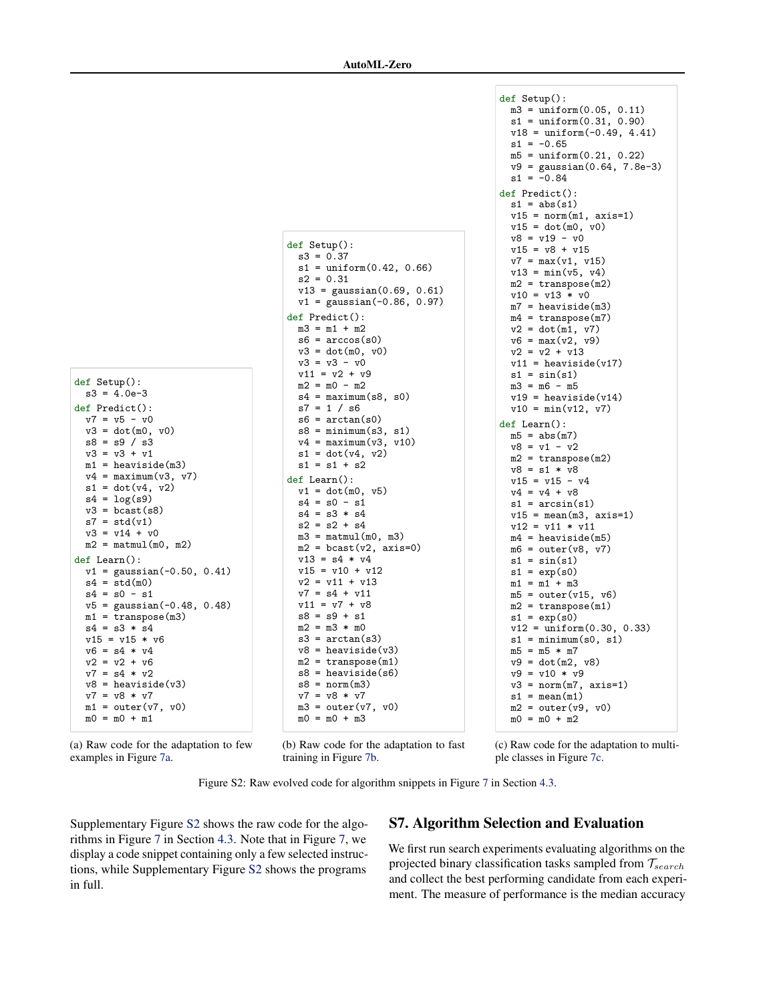```
def Setup():
 s3 = 4.0e-3def Predict():
 v7 = v5 - v0v3 = dot(m0, v0)s8 = s9 / s3v3 = v3 + v1
 m1 = heaviside(m3)
 v4 = \text{maximum}(v3, v7)s1 = dot(v4, v2)s4 = log(s9)v3 = bcast(s8)s7 = std(v1)v3 = v14 + v0m2 = \text{matmul}(m0, m2)def Learn():
 v1 = gaussian(-0.50, 0.41)
 s4 = std(m0)s4 = s0 - s1v5 = gaussian(-0.48, 0.48)
 m1 =transpose(m3)s4 = s3 * s4v15 = v15 * v6v6 = s4 * v4v2 = v2 + v6v7 = s4 * v2v8 = heaviside(v3)
 v7 = v8 * v7
 m1 = outer(v7, v0)m0 = m0 + m1
```

```
def Setup():
  s3 = 0.37s1 = uniform(0.42, 0.66)s2 = 0.31v13 = gaussian(0.69, 0.61)
  v1 = gaussian(-0.86, 0.97)
def Predict():
  m3 = m1 + m2s6 = \arccos(s0)v3 = dot(m0, v0)v3 = v3 - v0v11 = v2 + v9m2 = m0 - m2s4 = \text{maximum}(s8, s0)s7 = 1 / s6s6 = arctan(s0)s8 = \text{minimum}(s3, s1)v4 = maximum(v3, v10)s1 = dot(v4, v2)s1 = s1 + s2def Learn():
 v1 = dot(m0, v5)s4 = s0 - s1s4 = s3 * s4s2 = s2 + s4m3 = \text{matmul}(m0, m3)m2 = bcast(v2, axis=0)v13 = s4 * v4v15 = v10 + v12v2 = v11 + v13v7 = s4 + v11v11 = v7 + v8s8 = s9 + s1m2 = m3 * m0s3 = \arctan(s3)v8 = heaviside(v3)
 m2 = transpose(m1)s8 = \text{heaviside}(s6)s8 = norm(m3)v7 = v8 * v7
 m3 = outer(v7, v0)m0 = m0 + m3
```
def Setup():  $m3 = uniform(0.05, 0.11)$  $s1 = uniform(0.31, 0.90)$ v18 = uniform(-0.49, 4.41)  $s1 = -0.65$  $m5 = uniform(0.21, 0.22)$ v9 = gaussian(0.64, 7.8e-3)  $s1 = -0.84$ def Predict():  $s1 = abs(s1)$  $v15 = norm(m1, axis=1)$  $v15 = dot(m0, v0)$ v8 = v19 - v0  $v15 = v8 + v15$ v7 = max(v1, v15)  $v13 = min(v5, v4)$  $m2 =$ transpose $(m2)$ v10 = v13 \* v0 m7 = heaviside(m3)  $m4 =$ transpose $(m7)$  $v2 = dot(m1, v7)$  $v6 = max(v2, v9)$  $v2 = v2 + v13$  $v11 =$  heaviside(v17)  $s1 = sin(s1)$  $m3 = m6 - m5$  $v19 =$  heaviside(v14) v10 = min(v12, v7) def Learn():  $m5 = abs(m7)$  $v8 = v1 - v2$  $m2 =$ transpose $(m2)$ v8 = s1 \* v8  $v15 = v15 - v4$  $v4 = v4 + v8$  $s1 = \arcsin(s1)$  $v15 = mean(m3, axis=1)$ v12 = v11 \* v11  $m4 =$  heaviside( $m5$ )  $m6 = outer(v8, v7)$  $s1 = sin(s1)$  $s1 = exp(s0)$  $m1 = m1 + m3$  $m5 = outer(v15, v6)$  $m2 =$ transpose $(m1)$  $s1 = exp(s0)$  $v12 = \text{uniform}(0.30, 0.33)$  $s1 = minimum(s0, s1)$  $m5 = m5 * m7$  $v9 = dot(m2, v8)$ v9 = v10 \* v9  $v3 = norm(m7, axis=1)$  $s1 = mean(m1)$  $m2 = outer(v9, v0)$  $m0 = m0 + m2$ 

(a) Raw code for the adaptation to few examples in Figure [7a.](#page-0-0)

(b) Raw code for the adaptation to fast training in Figure [7b.](#page-0-0)

(c) Raw code for the adaptation to multiple classes in Figure [7c.](#page-0-0)

Figure S2: Raw evolved code for algorithm snippets in Figure [7](#page-0-0) in Section [4.3.](#page-0-0)

Supplementary Figure S2 shows the raw code for the algorithms in Figure [7](#page-0-0) in Section [4.3.](#page-0-0) Note that in Figure [7,](#page-0-0) we display a code snippet containing only a few selected instructions, while Supplementary Figure S2 shows the programs in full.

# S7. Algorithm Selection and Evaluation

We first run search experiments evaluating algorithms on the projected binary classification tasks sampled from *Tsearch* and collect the best performing candidate from each experiment. The measure of performance is the median accuracy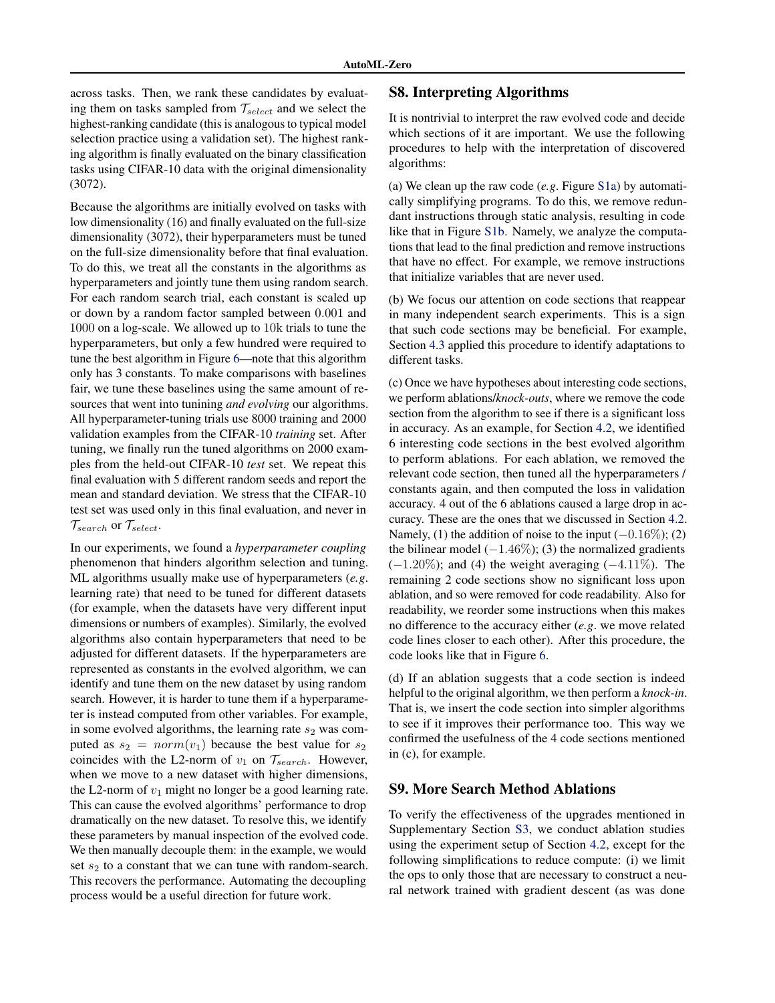<span id="page-7-0"></span>across tasks. Then, we rank these candidates by evaluating them on tasks sampled from *Tselect* and we select the highest-ranking candidate (this is analogous to typical model selection practice using a validation set). The highest ranking algorithm is finally evaluated on the binary classification tasks using CIFAR-10 data with the original dimensionality (3072).

Because the algorithms are initially evolved on tasks with low dimensionality (16) and finally evaluated on the full-size dimensionality (3072), their hyperparameters must be tuned on the full-size dimensionality before that final evaluation. To do this, we treat all the constants in the algorithms as hyperparameters and jointly tune them using random search. For each random search trial, each constant is scaled up or down by a random factor sampled between 0*.*001 and 1000 on a log-scale. We allowed up to 10k trials to tune the hyperparameters, but only a few hundred were required to tune the best algorithm in Figure [6—](#page-0-0)note that this algorithm only has 3 constants. To make comparisons with baselines fair, we tune these baselines using the same amount of resources that went into tunining *and evolving* our algorithms. All hyperparameter-tuning trials use 8000 training and 2000 validation examples from the CIFAR-10 *training* set. After tuning, we finally run the tuned algorithms on 2000 examples from the held-out CIFAR-10 *test* set. We repeat this final evaluation with 5 different random seeds and report the mean and standard deviation. We stress that the CIFAR-10 test set was used only in this final evaluation, and never in *Tsearch* or *Tselect*.

In our experiments, we found a *hyperparameter coupling* phenomenon that hinders algorithm selection and tuning. ML algorithms usually make use of hyperparameters (*e.g*. learning rate) that need to be tuned for different datasets (for example, when the datasets have very different input dimensions or numbers of examples). Similarly, the evolved algorithms also contain hyperparameters that need to be adjusted for different datasets. If the hyperparameters are represented as constants in the evolved algorithm, we can identify and tune them on the new dataset by using random search. However, it is harder to tune them if a hyperparameter is instead computed from other variables. For example, in some evolved algorithms, the learning rate  $s_2$  was computed as  $s_2 = norm(v_1)$  because the best value for  $s_2$ coincides with the L2-norm of  $v_1$  on  $\mathcal{T}_{search}$ . However, when we move to a new dataset with higher dimensions, the L2-norm of  $v_1$  might no longer be a good learning rate. This can cause the evolved algorithms' performance to drop dramatically on the new dataset. To resolve this, we identify these parameters by manual inspection of the evolved code. We then manually decouple them: in the example, we would set  $s_2$  to a constant that we can tune with random-search. This recovers the performance. Automating the decoupling process would be a useful direction for future work.

#### S8. Interpreting Algorithms

It is nontrivial to interpret the raw evolved code and decide which sections of it are important. We use the following procedures to help with the interpretation of discovered algorithms:

(a) We clean up the raw code (*e.g*. Figure [S1a\)](#page-5-0) by automatically simplifying programs. To do this, we remove redundant instructions through static analysis, resulting in code like that in Figure [S1b.](#page-5-0) Namely, we analyze the computations that lead to the final prediction and remove instructions that have no effect. For example, we remove instructions that initialize variables that are never used.

(b) We focus our attention on code sections that reappear in many independent search experiments. This is a sign that such code sections may be beneficial. For example, Section [4.3](#page-0-0) applied this procedure to identify adaptations to different tasks.

(c) Once we have hypotheses about interesting code sections, we perform ablations/*knock-outs*, where we remove the code section from the algorithm to see if there is a significant loss in accuracy. As an example, for Section [4.2,](#page-0-0) we identified 6 interesting code sections in the best evolved algorithm to perform ablations. For each ablation, we removed the relevant code section, then tuned all the hyperparameters / constants again, and then computed the loss in validation accuracy. 4 out of the 6 ablations caused a large drop in accuracy. These are the ones that we discussed in Section [4.2.](#page-0-0) Namely, (1) the addition of noise to the input  $(-0.16\%);$  (2) the bilinear model  $(-1.46\%);$  (3) the normalized gradients  $(-1.20\%)$ ; and (4) the weight averaging  $(-4.11\%)$ . The remaining 2 code sections show no significant loss upon ablation, and so were removed for code readability. Also for readability, we reorder some instructions when this makes no difference to the accuracy either (*e.g*. we move related code lines closer to each other). After this procedure, the code looks like that in Figure [6.](#page-0-0)

(d) If an ablation suggests that a code section is indeed helpful to the original algorithm, we then perform a *knock-in*. That is, we insert the code section into simpler algorithms to see if it improves their performance too. This way we confirmed the usefulness of the 4 code sections mentioned in (c), for example.

#### S9. More Search Method Ablations

To verify the effectiveness of the upgrades mentioned in Supplementary Section [S3,](#page-0-0) we conduct ablation studies using the experiment setup of Section [4.2,](#page-0-0) except for the following simplifications to reduce compute: (i) we limit the ops to only those that are necessary to construct a neural network trained with gradient descent (as was done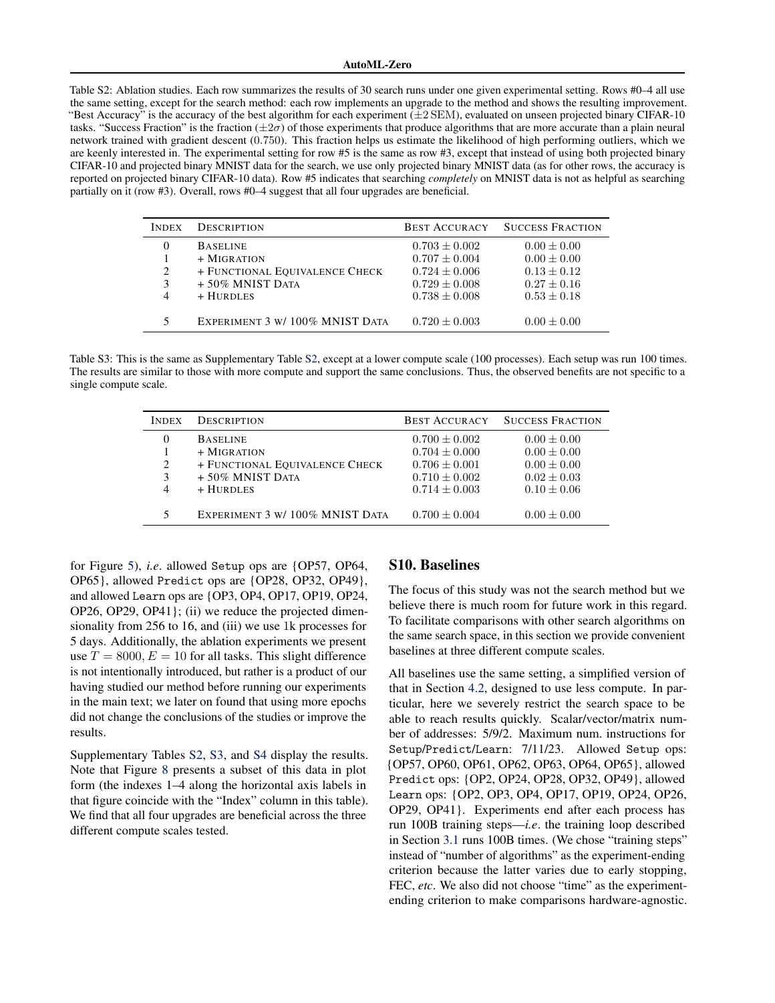<span id="page-8-0"></span>Table S2: Ablation studies. Each row summarizes the results of 30 search runs under one given experimental setting. Rows #0–4 all use the same setting, except for the search method: each row implements an upgrade to the method and shows the resulting improvement. "Best Accuracy" is the accuracy of the best algorithm for each experiment (*±*2 SEM), evaluated on unseen projected binary CIFAR-10 tasks. "Success Fraction" is the fraction  $(\pm 2\sigma)$  of those experiments that produce algorithms that are more accurate than a plain neural network trained with gradient descent (0*.*750). This fraction helps us estimate the likelihood of high performing outliers, which we are keenly interested in. The experimental setting for row #5 is the same as row #3, except that instead of using both projected binary CIFAR-10 and projected binary MNIST data for the search, we use only projected binary MNIST data (as for other rows, the accuracy is reported on projected binary CIFAR-10 data). Row #5 indicates that searching *completely* on MNIST data is not as helpful as searching partially on it (row #3). Overall, rows #0–4 suggest that all four upgrades are beneficial.

| <b>INDEX</b> | <b>DESCRIPTION</b>                                                                       | <b>BEST ACCURACY</b>                                                           | <b>SUCCESS FRACTION</b>                                                  |
|--------------|------------------------------------------------------------------------------------------|--------------------------------------------------------------------------------|--------------------------------------------------------------------------|
| 2<br>3       | <b>BASELINE</b><br>$+$ MIGRATION<br>+ FUNCTIONAL EQUIVALENCE CHECK<br>$+50\%$ MNIST DATA | $0.703 \pm 0.002$<br>$0.707 + 0.004$<br>$0.724 \pm 0.006$<br>$0.729 \pm 0.008$ | $0.00 \pm 0.00$<br>$0.00 \pm 0.00$<br>$0.13 \pm 0.12$<br>$0.27 \pm 0.16$ |
| 4            | $+$ HURDLES<br>EXPERIMENT 3 W/ 100% MNIST DATA                                           | $0.738 \pm 0.008$<br>$0.720 \pm 0.003$                                         | $0.53 \pm 0.18$<br>$0.00 \pm 0.00$                                       |

Table S3: This is the same as Supplementary Table S2, except at a lower compute scale (100 processes). Each setup was run 100 times. The results are similar to those with more compute and support the same conclusions. Thus, the observed benefits are not specific to a single compute scale.

| <b>INDEX</b> | <b>DESCRIPTION</b>               | <b>BEST ACCURACY</b>                   | <b>SUCCESS FRACTION</b>            |
|--------------|----------------------------------|----------------------------------------|------------------------------------|
|              | <b>BASELINE</b><br>$+$ MIGRATION | $0.700 \pm 0.002$<br>$0.704 \pm 0.000$ | $0.00 \pm 0.00$<br>$0.00 \pm 0.00$ |
| 2            | + FUNCTIONAL EQUIVALENCE CHECK   | $0.706 \pm 0.001$                      | $0.00 \pm 0.00$                    |
| 3            | $+50\%$ MNIST DATA               | $0.710 \pm 0.002$                      | $0.02 \pm 0.03$                    |
|              | $+$ HURDLES                      | $0.714 \pm 0.003$                      | $0.10 \pm 0.06$                    |
| 5            | EXPERIMENT 3 W/ 100% MNIST DATA  | $0.700 \pm 0.004$                      | $0.00 \pm 0.00$                    |

for Figure [5\)](#page-0-0), *i.e*. allowed Setup ops are {OP57, OP64, OP65}, allowed Predict ops are {OP28, OP32, OP49}, and allowed Learn ops are {OP3, OP4, OP17, OP19, OP24, OP26, OP29, OP41}; (ii) we reduce the projected dimensionality from 256 to 16, and (iii) we use 1k processes for 5 days. Additionally, the ablation experiments we present use  $T = 8000, E = 10$  for all tasks. This slight difference is not intentionally introduced, but rather is a product of our having studied our method before running our experiments in the main text; we later on found that using more epochs did not change the conclusions of the studies or improve the results.

Supplementary Tables S2, S3, and [S4](#page-9-0) display the results. Note that Figure [8](#page-0-0) presents a subset of this data in plot form (the indexes 1–4 along the horizontal axis labels in that figure coincide with the "Index" column in this table). We find that all four upgrades are beneficial across the three different compute scales tested.

#### S10. Baselines

The focus of this study was not the search method but we believe there is much room for future work in this regard. To facilitate comparisons with other search algorithms on the same search space, in this section we provide convenient baselines at three different compute scales.

All baselines use the same setting, a simplified version of that in Section [4.2,](#page-0-0) designed to use less compute. In particular, here we severely restrict the search space to be able to reach results quickly. Scalar/vector/matrix number of addresses: 5/9/2. Maximum num. instructions for Setup/Predict/Learn: 7/11/23. Allowed Setup ops: {OP57, OP60, OP61, OP62, OP63, OP64, OP65}, allowed Predict ops: {OP2, OP24, OP28, OP32, OP49}, allowed Learn ops: {OP2, OP3, OP4, OP17, OP19, OP24, OP26, OP29, OP41}. Experiments end after each process has run 100B training steps—*i.e*. the training loop described in Section [3.1](#page-0-0) runs 100B times. (We chose "training steps" instead of "number of algorithms" as the experiment-ending criterion because the latter varies due to early stopping, FEC, *etc*. We also did not choose "time" as the experimentending criterion to make comparisons hardware-agnostic.